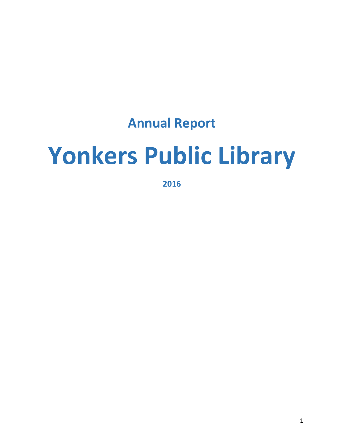## **Annual Report**

# **Yonkers Public Library**

**2016**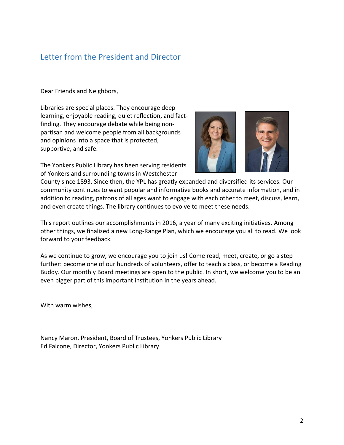## Letter from the President and Director

Dear Friends and Neighbors,

Libraries are special places. They encourage deep learning, enjoyable reading, quiet reflection, and factfinding. They encourage debate while being nonpartisan and welcome people from all backgrounds and opinions into a space that is protected, supportive, and safe.

The Yonkers Public Library has been serving residents of Yonkers and surrounding towns in Westchester



County since 1893. Since then, the YPL has greatly expanded and diversified its services. Our community continues to want popular and informative books and accurate information, and in addition to reading, patrons of all ages want to engage with each other to meet, discuss, learn, and even create things. The library continues to evolve to meet these needs.

This report outlines our accomplishments in 2016, a year of many exciting initiatives. Among other things, we finalized a new Long-Range Plan, which we encourage you all to read. We look forward to your feedback.

As we continue to grow, we encourage you to join us! Come read, meet, create, or go a step further: become one of our hundreds of volunteers, offer to teach a class, or become a Reading Buddy. Our monthly Board meetings are open to the public. In short, we welcome you to be an even bigger part of this important institution in the years ahead.

With warm wishes,

Nancy Maron, President, Board of Trustees, Yonkers Public Library Ed Falcone, Director, Yonkers Public Library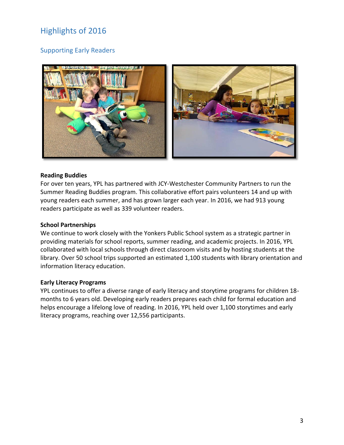## Highlights of 2016

## Supporting Early Readers



#### **Reading Buddies**

For over ten years, YPL has partnered with JCY-Westchester Community Partners to run the Summer Reading Buddies program. This collaborative effort pairs volunteers 14 and up with young readers each summer, and has grown larger each year. In 2016, we had 913 young readers participate as well as 339 volunteer readers.

#### **School Partnerships**

We continue to work closely with the Yonkers Public School system as a strategic partner in providing materials for school reports, summer reading, and academic projects. In 2016, YPL collaborated with local schools through direct classroom visits and by hosting students at the library. Over 50 school trips supported an estimated 1,100 students with library orientation and information literacy education.

#### **Early Literacy Programs**

YPL continues to offer a diverse range of early literacy and storytime programs for children 18 months to 6 years old. Developing early readers prepares each child for formal education and helps encourage a lifelong love of reading. In 2016, YPL held over 1,100 storytimes and early literacy programs, reaching over 12,556 participants.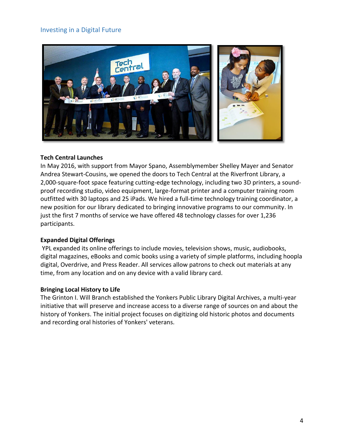#### Investing in a Digital Future



#### **Tech Central Launches**

In May 2016, with support from Mayor Spano, Assemblymember Shelley Mayer and Senator Andrea Stewart-Cousins, we opened the doors to Tech Central at the Riverfront Library, a 2,000-square-foot space featuring cutting-edge technology, including two 3D printers, a soundproof recording studio, video equipment, large-format printer and a computer training room outfitted with 30 laptops and 25 iPads. We hired a full-time technology training coordinator, a new position for our library dedicated to bringing innovative programs to our community. In just the first 7 months of service we have offered 48 technology classes for over 1,236 participants.

#### **Expanded Digital Offerings**

YPL expanded its online offerings to include movies, television shows, music, audiobooks, digital magazines, eBooks and comic books using a variety of simple platforms, including hoopla digital, Overdrive, and Press Reader. All services allow patrons to check out materials at any time, from any location and on any device with a valid library card.

#### **Bringing Local History to Life**

The Grinton I. Will Branch established the Yonkers Public Library Digital Archives, a multi-year initiative that will preserve and increase access to a diverse range of sources on and about the history of Yonkers. The initial project focuses on digitizing old historic photos and documents and recording oral histories of Yonkers' veterans.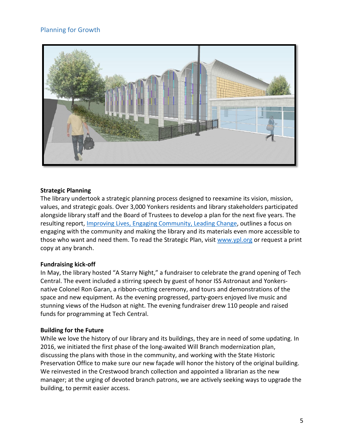### Planning for Growth



#### **Strategic Planning**

The library undertook a strategic planning process designed to reexamine its vision, mission, values, and strategic goals. Over 3,000 Yonkers residents and library stakeholders participated alongside library staff and the Board of Trustees to develop a plan for the next five years. The resulting report, [Improving Lives, Engaging Community, Leading Change,](http://www.ypl.org/wp-content/uploads/strategicplanexternal.pdf) outlines a focus on engaging with the community and making the library and its materials even more accessible to those who want and need them. To read the Strategic Plan, visit [www.ypl.org](http://www.ypl.org/) or request a print copy at any branch.

#### **Fundraising kick-off**

In May, the library hosted "A Starry Night," a fundraiser to celebrate the grand opening of Tech Central. The event included a stirring speech by guest of honor ISS Astronaut and Yonkersnative Colonel Ron Garan, a ribbon-cutting ceremony, and tours and demonstrations of the space and new equipment. As the evening progressed, party-goers enjoyed live music and stunning views of the Hudson at night. The evening fundraiser drew 110 people and raised funds for programming at Tech Central.

#### **Building for the Future**

While we love the history of our library and its buildings, they are in need of some updating. In 2016, we initiated the first phase of the long-awaited Will Branch modernization plan, discussing the plans with those in the community, and working with the State Historic Preservation Office to make sure our new façade will honor the history of the original building. We reinvested in the Crestwood branch collection and appointed a librarian as the new manager; at the urging of devoted branch patrons, we are actively seeking ways to upgrade the building, to permit easier access.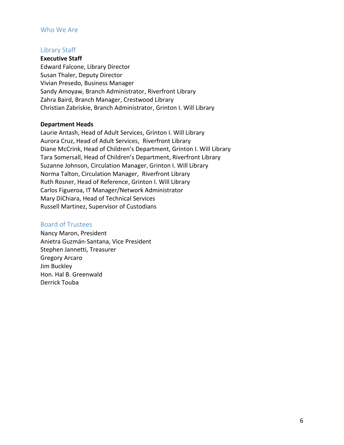#### Who We Are

#### Library Staff

**Executive Staff**

Edward Falcone, Library Director Susan Thaler, Deputy Director Vivian Presedo, Business Manager Sandy Amoyaw, Branch Administrator, Riverfront Library Zahra Baird, Branch Manager, Crestwood Library Christian Zabriskie, Branch Administrator, Grinton I. Will Library

#### **Department Heads**

Laurie Antash, Head of Adult Services, Grinton I. Will Library Aurora Cruz, Head of Adult Services, Riverfront Library Diane McCrink, Head of Children's Department, Grinton I. Will Library Tara Somersall, Head of Children's Department, Riverfront Library Suzanne Johnson, Circulation Manager, Grinton I. Will Library Norma Talton, Circulation Manager, Riverfront Library Ruth Rosner, Head of Reference, Grinton I. Will Library Carlos Figueroa, IT Manager/Network Administrator Mary DiChiara, Head of Technical Services Russell Martinez, Supervisor of Custodians

#### Board of Trustees

Nancy Maron, President Anietra Guzmán-Santana, Vice President Stephen Jannetti, Treasurer Gregory Arcaro Jim Buckley Hon. Hal B. Greenwald Derrick Touba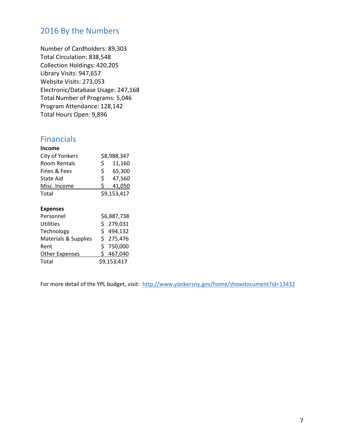## 2016 By the Numbers

Number of Cardholders: 89,303 Total Circulation: 838,548 Collection Holdings: 420,205 Library Visits: 947,657 Website Visits: 273,053 Electronic/Database Usage: 247,168 Total Number of Programs: 5,046 Program Attendance: 128,142 Total Hours Open: 9,896

## Financials

| Income           |             |        |
|------------------|-------------|--------|
| City of Yonkers  | \$8,988,347 |        |
| Room Rentals     | S.          | 11,160 |
| Fines & Fees     | Ś.          | 65,300 |
| <b>State Aid</b> | Ś.          | 47,560 |
| Misc. Income     | S.          | 41,050 |
| Total            | \$9,153,417 |        |

#### **Expenses**

| Personnel                       | \$6,887,738 |
|---------------------------------|-------------|
| <b>Utilities</b>                | \$279,031   |
| Technology                      | \$494,132   |
| <b>Materials &amp; Supplies</b> | \$275,476   |
| Rent                            | \$750,000   |
| Other Expenses                  | \$467,040   |
| Total                           | \$9,153,417 |

For more detail of the YPL budget, visit: [http://www.yonkersny.gov/home/showdocument?id=13432](https://webmail.ypl.org/owa/redir.aspx?C=i50uvdv0eIl7BppE2IYF9ofi2RYIE4XFgDGUT08JyIwaQoy4LEbUCA..&URL=http%3a%2f%2fwww.yonkersny.gov%2fhome%2fshowdocument%3fid%3d13432)